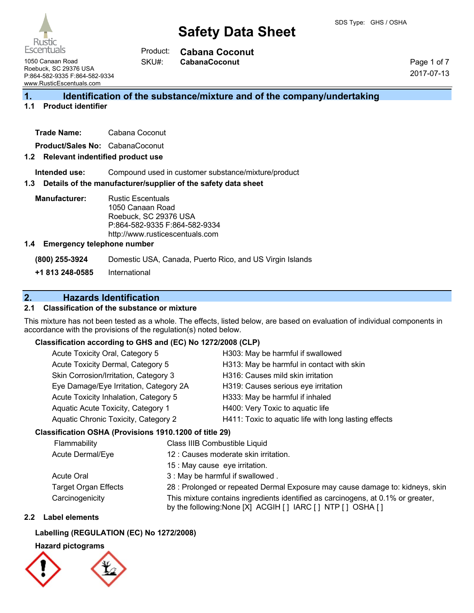

**Cabana Coconut** Product:

**CabanaCoconut**

1050 Canaan Road Roebuck, SC 29376 USA P:864-582-9335 F:864-582-9334 www.RusticEscentuals.com

Page 1 of 7 2017-07-13

### **1. Identification of the substance/mixture and of the company/undertaking**

#### **1.1 Product identifier**

| <b>Trade Name:</b> | Cabana Coconut |
|--------------------|----------------|
|                    |                |

**Product/Sales No:** CabanaCoconut

#### **1.2 Relevant indentified product use**

**Intended use:** Compound used in customer substance/mixture/product

#### **1.3 Details of the manufacturer/supplier of the safety data sheet**

SKU#:

**Manufacturer:** Rustic Escentuals 1050 Canaan Road Roebuck, SC 29376 USA P:864-582-9335 F:864-582-9334 http://www.rusticescentuals.com

#### **1.4 Emergency telephone number**

**(800) 255-3924** Domestic USA, Canada, Puerto Rico, and US Virgin Islands

**+1 813 248-0585** International

### **2. Hazards Identification**

#### **2.1 Classification of the substance or mixture**

This mixture has not been tested as a whole. The effects, listed below, are based on evaluation of individual components in accordance with the provisions of the regulation(s) noted below.

#### **Classification according to GHS and (EC) No 1272/2008 (CLP)**

| Acute Toxicity Oral, Category 5        | H303: May be harmful if swallowed                     |
|----------------------------------------|-------------------------------------------------------|
| Acute Toxicity Dermal, Category 5      | H313: May be harmful in contact with skin             |
| Skin Corrosion/Irritation, Category 3  | H316: Causes mild skin irritation                     |
| Eye Damage/Eye Irritation, Category 2A | H319: Causes serious eye irritation                   |
| Acute Toxicity Inhalation, Category 5  | H333: May be harmful if inhaled                       |
| Aquatic Acute Toxicity, Category 1     | H400: Very Toxic to aquatic life                      |
| Aquatic Chronic Toxicity, Category 2   | H411: Toxic to aquatic life with long lasting effects |
|                                        |                                                       |

#### **Classification OSHA (Provisions 1910.1200 of title 29)**

| Flammability                | Class IIIB Combustible Liquid                                                                                                                      |  |
|-----------------------------|----------------------------------------------------------------------------------------------------------------------------------------------------|--|
| Acute Dermal/Eye            | 12 : Causes moderate skin irritation.                                                                                                              |  |
|                             | 15 : May cause eye irritation.                                                                                                                     |  |
| Acute Oral                  | 3 : May be harmful if swallowed.                                                                                                                   |  |
| <b>Target Organ Effects</b> | 28 : Prolonged or repeated Dermal Exposure may cause damage to: kidneys, skin                                                                      |  |
| Carcinogenicity             | This mixture contains ingredients identified as carcinogens, at 0.1% or greater,<br>by the following: None [X] ACGIH [ ] IARC [ ] NTP [ ] OSHA [ ] |  |

#### **2.2 Label elements**

#### **Labelling (REGULATION (EC) No 1272/2008)**

#### **Hazard pictograms**

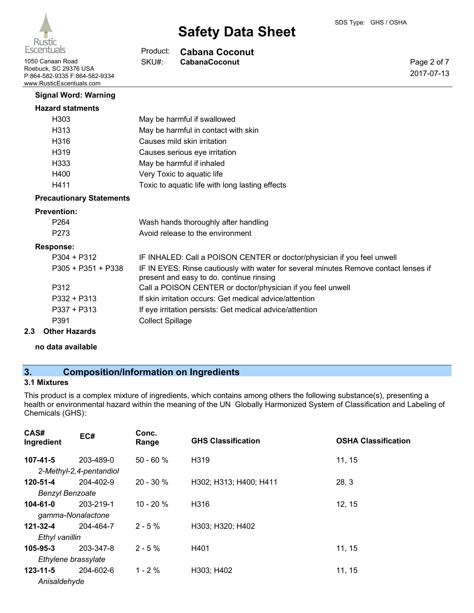Page 2 of 7 2017-07-13



# **Safety Data Sheet**

#### **Cabana Coconut** Product:

SKU#:

1050 Canaan Road **CabanaCoconut** SKU#: CabanaCoconut Roebuck, SC 29376 USA P:864-582-9335 F:864-582-9334 www.RusticEscentuals.com

# **Signal Word: Warning**

### **Hazard statments**

| H303 | May be harmful if swallowed                     |
|------|-------------------------------------------------|
| H313 | May be harmful in contact with skin             |
| H316 | Causes mild skin irritation                     |
| H319 | Causes serious eye irritation                   |
| H333 | May be harmful if inhaled                       |
| H400 | Very Toxic to aquatic life                      |
| H411 | Toxic to aquatic life with long lasting effects |

#### **Precautionary Statements**

#### **Prevention:**

| .    |                                      |  |
|------|--------------------------------------|--|
| P273 | Avoid release to the environment     |  |
| P264 | Wash hands thoroughly after handling |  |
|      |                                      |  |

#### **Response:**

|     | $P304 + P312$        | IF INHALED: Call a POISON CENTER or doctor/physician if you feel unwell                                                          |
|-----|----------------------|----------------------------------------------------------------------------------------------------------------------------------|
|     | P305 + P351 + P338   | IF IN EYES: Rinse cautiously with water for several minutes Remove contact lenses if<br>present and easy to do. continue rinsing |
|     | P312                 | Call a POISON CENTER or doctor/physician if you feel unwell                                                                      |
|     | $P332 + P313$        | If skin irritation occurs: Get medical advice/attention                                                                          |
|     | $P337 + P313$        | If eye irritation persists: Get medical advice/attention                                                                         |
|     | P391                 | <b>Collect Spillage</b>                                                                                                          |
| 2.3 | <b>Other Hazards</b> |                                                                                                                                  |

### **no data available**

# **3. Composition/Information on Ingredients**

### **3.1 Mixtures**

This product is a complex mixture of ingredients, which contains among others the following substance(s), presenting a health or environmental hazard within the meaning of the UN Globally Harmonized System of Classification and Labeling of Chemicals (GHS):

| CAS#<br>Ingredient     | EC#                     | Conc.<br>Range | <b>GHS Classification</b> | <b>OSHA Classification</b> |
|------------------------|-------------------------|----------------|---------------------------|----------------------------|
| $107 - 41 - 5$         | 203-489-0               | $50 - 60 %$    | H <sub>319</sub>          | 11, 15                     |
|                        | 2-Methyl-2,4-pentandiol |                |                           |                            |
| 120-51-4               | 204-402-9               | $20 - 30 \%$   | H302; H313; H400; H411    | 28, 3                      |
| <b>Benzyl Benzoate</b> |                         |                |                           |                            |
| $104 - 61 - 0$         | 203-219-1               | $10 - 20 \%$   | H316                      | 12, 15                     |
|                        | gamma-Nonalactone       |                |                           |                            |
| $121 - 32 - 4$         | 204-464-7               | $2 - 5 \%$     | H303; H320; H402          |                            |
| Ethyl vanillin         |                         |                |                           |                            |
| 105-95-3               | 203-347-8               | $2 - 5\%$      | H401                      | 11, 15                     |
|                        | Ethylene brassylate     |                |                           |                            |
| $123 - 11 - 5$         | 204-602-6               | $1 - 2 \%$     | H303; H402                | 11, 15                     |
| Anisaldehyde           |                         |                |                           |                            |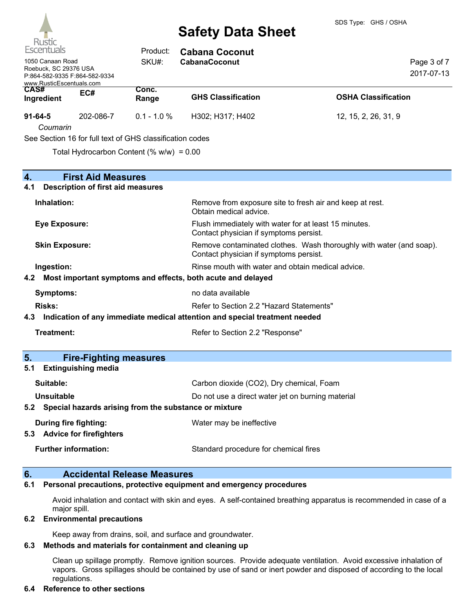

| <b>KUSTIC</b><br>Escentuals                                                                            |                                                                       | Product:                                                 | <b>Cabana Coconut</b>                                                                                         |                            |  |
|--------------------------------------------------------------------------------------------------------|-----------------------------------------------------------------------|----------------------------------------------------------|---------------------------------------------------------------------------------------------------------------|----------------------------|--|
| 1050 Canaan Road<br>Roebuck, SC 29376 USA<br>P:864-582-9335 F:864-582-9334<br>www.RusticEscentuals.com |                                                                       | SKU#:                                                    | <b>CabanaCoconut</b>                                                                                          | Page 3 of 7<br>2017-07-13  |  |
| CAS#<br>Ingredient                                                                                     | EC#                                                                   | Conc.<br>Range                                           | <b>GHS Classification</b>                                                                                     | <b>OSHA Classification</b> |  |
| $91 - 64 - 5$<br>Coumarin                                                                              | 202-086-7                                                             | $0.1 - 1.0 %$                                            | H302; H317; H402                                                                                              | 12, 15, 2, 26, 31, 9       |  |
|                                                                                                        |                                                                       | See Section 16 for full text of GHS classification codes |                                                                                                               |                            |  |
|                                                                                                        |                                                                       | Total Hydrocarbon Content (% $w/w$ ) = 0.00              |                                                                                                               |                            |  |
| 4.<br>4.1                                                                                              | <b>First Aid Measures</b><br><b>Description of first aid measures</b> |                                                          |                                                                                                               |                            |  |
| Inhalation:                                                                                            |                                                                       |                                                          | Remove from exposure site to fresh air and keep at rest.<br>Obtain medical advice.                            |                            |  |
| <b>Eye Exposure:</b>                                                                                   |                                                                       |                                                          | Flush immediately with water for at least 15 minutes.<br>Contact physician if symptoms persist.               |                            |  |
| <b>Skin Exposure:</b>                                                                                  |                                                                       |                                                          | Remove contaminated clothes. Wash thoroughly with water (and soap).<br>Contact physician if symptoms persist. |                            |  |
|                                                                                                        | Ingestion:<br>Rinse mouth with water and obtain medical advice.       |                                                          |                                                                                                               |                            |  |
| 4.2                                                                                                    |                                                                       |                                                          | Most important symptoms and effects, both acute and delayed                                                   |                            |  |
|                                                                                                        | no data available<br><b>Symptoms:</b>                                 |                                                          |                                                                                                               |                            |  |
| <b>Risks:</b>                                                                                          | Refer to Section 2.2 "Hazard Statements"                              |                                                          |                                                                                                               |                            |  |
| 4.3                                                                                                    |                                                                       |                                                          | Indication of any immediate medical attention and special treatment needed                                    |                            |  |
| Treatment:                                                                                             |                                                                       |                                                          | Refer to Section 2.2 "Response"                                                                               |                            |  |
|                                                                                                        | .                                                                     |                                                          |                                                                                                               |                            |  |

#### **5. Fire-Fighting measures 5.1 Extinguishing media Suitable:** Carbon dioxide (CO2), Dry chemical, Foam

| Suitable.                                                 | Carbott gloxige (COZ), Dry Crieffical, Foalit     |  |  |
|-----------------------------------------------------------|---------------------------------------------------|--|--|
| <b>Unsuitable</b>                                         | Do not use a direct water jet on burning material |  |  |
| 5.2 Special hazards arising from the substance or mixture |                                                   |  |  |
| Water may be ineffective<br>During fire fighting:         |                                                   |  |  |
| 5.3 Advice for firefighters                               |                                                   |  |  |
| <b>Further information:</b>                               | Standard procedure for chemical fires             |  |  |

#### **6. Accidental Release Measures**

#### **6.1 Personal precautions, protective equipment and emergency procedures**

Avoid inhalation and contact with skin and eyes. A self-contained breathing apparatus is recommended in case of a major spill.

#### **6.2 Environmental precautions**

Keep away from drains, soil, and surface and groundwater.

#### **6.3 Methods and materials for containment and cleaning up**

Clean up spillage promptly. Remove ignition sources. Provide adequate ventilation. Avoid excessive inhalation of vapors. Gross spillages should be contained by use of sand or inert powder and disposed of according to the local regulations.

#### **6.4 Reference to other sections**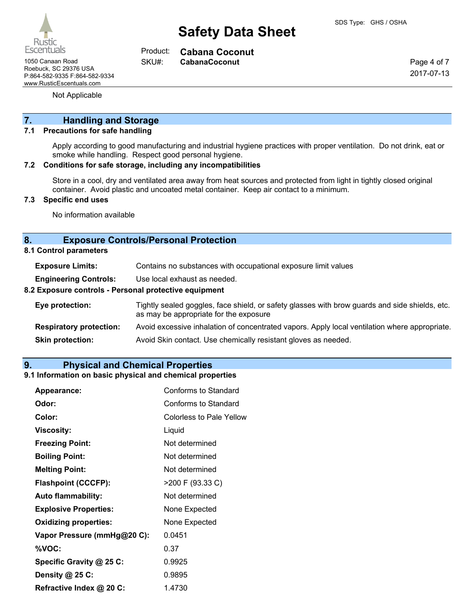

**Cabana Coconut** Product: SKU#:

1050 Canaan Road **CabanaCoconut** SKU#: CabanaCoconut Roebuck, SC 29376 USA P:864-582-9335 F:864-582-9334 www.RusticEscentuals.com

Not Applicable

# **7. Handling and Storage**

#### **7.1 Precautions for safe handling**

Apply according to good manufacturing and industrial hygiene practices with proper ventilation. Do not drink, eat or smoke while handling. Respect good personal hygiene.

#### **7.2 Conditions for safe storage, including any incompatibilities**

Store in a cool, dry and ventilated area away from heat sources and protected from light in tightly closed original container. Avoid plastic and uncoated metal container. Keep air contact to a minimum.

#### **7.3 Specific end uses**

No information available

#### **8. Exposure Controls/Personal Protection**

**8.1 Control parameters**

**Engineering Controls:** Use local exhaust as needed.

#### **8.2 Exposure controls - Personal protective equipment**

| Eye protection:                | Tightly sealed goggles, face shield, or safety glasses with brow guards and side shields, etc.<br>as may be appropriate for the exposure |
|--------------------------------|------------------------------------------------------------------------------------------------------------------------------------------|
| <b>Respiratory protection:</b> | Avoid excessive inhalation of concentrated vapors. Apply local ventilation where appropriate.                                            |
| <b>Skin protection:</b>        | Avoid Skin contact. Use chemically resistant gloves as needed.                                                                           |

#### **9. Physical and Chemical Properties**

#### **9.1 Information on basic physical and chemical properties**

| <b>Appearance:</b>           | Conforms to Standard            |
|------------------------------|---------------------------------|
| Odor:                        | Conforms to Standard            |
| Color:                       | <b>Colorless to Pale Yellow</b> |
| Viscosity:                   | Liquid                          |
| <b>Freezing Point:</b>       | Not determined                  |
| <b>Boiling Point:</b>        | Not determined                  |
| <b>Melting Point:</b>        | Not determined                  |
| <b>Flashpoint (CCCFP):</b>   | >200 F (93.33 C)                |
| <b>Auto flammability:</b>    | Not determined                  |
| <b>Explosive Properties:</b> | None Expected                   |
| <b>Oxidizing properties:</b> | None Expected                   |
| Vapor Pressure (mmHg@20 C):  | 0.0451                          |
| %VOC:                        | 0.37                            |
| Specific Gravity @ 25 C:     | 0.9925                          |
| Density @ 25 C:              | 0.9895                          |
| Refractive Index @ 20 C:     | 1.4730                          |

Page 4 of 7 2017-07-13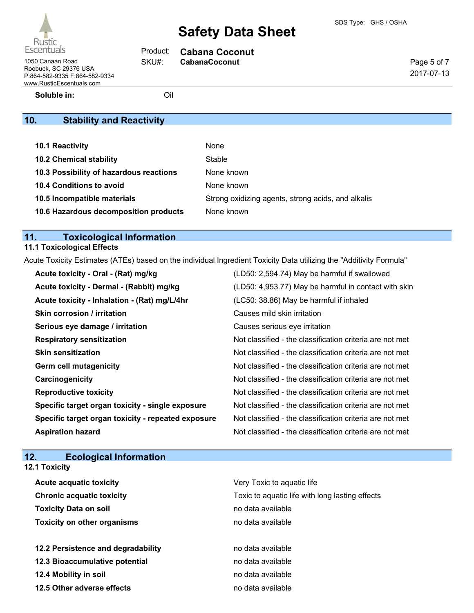

**Cabana Coconut**

| Page 5 of 7 |
|-------------|
| 2017-07-13  |

1050 Canaan Road **CabanaCoconut** SKU#: CabanaCoconut Roebuck, SC 29376 USA P:864-582-9335 F:864-582-9334 www.RusticEscentuals.com

**Soluble in:** Oil

Product: SKU#:

# **10. Stability and Reactivity**

| 10.1 Reactivity                         | None                                               |
|-----------------------------------------|----------------------------------------------------|
| <b>10.2 Chemical stability</b>          | Stable                                             |
| 10.3 Possibility of hazardous reactions | None known                                         |
| <b>10.4 Conditions to avoid</b>         | None known                                         |
| 10.5 Incompatible materials             | Strong oxidizing agents, strong acids, and alkalis |
| 10.6 Hazardous decomposition products   | None known                                         |

# **11. Toxicological Information**

# **11.1 Toxicological Effects**

Acute Toxicity Estimates (ATEs) based on the individual Ingredient Toxicity Data utilizing the "Additivity Formula"

| Acute toxicity - Oral - (Rat) mg/kg                | (LD50: 2,594.74) May be harmful if swallowed             |
|----------------------------------------------------|----------------------------------------------------------|
| Acute toxicity - Dermal - (Rabbit) mg/kg           | (LD50: 4,953.77) May be harmful in contact with skin     |
| Acute toxicity - Inhalation - (Rat) mg/L/4hr       | (LC50: 38.86) May be harmful if inhaled                  |
| <b>Skin corrosion / irritation</b>                 | Causes mild skin irritation                              |
| Serious eye damage / irritation                    | Causes serious eye irritation                            |
| <b>Respiratory sensitization</b>                   | Not classified - the classification criteria are not met |
| <b>Skin sensitization</b>                          | Not classified - the classification criteria are not met |
| <b>Germ cell mutagenicity</b>                      | Not classified - the classification criteria are not met |
| Carcinogenicity                                    | Not classified - the classification criteria are not met |
| <b>Reproductive toxicity</b>                       | Not classified - the classification criteria are not met |
| Specific target organ toxicity - single exposure   | Not classified - the classification criteria are not met |
| Specific target organ toxicity - repeated exposure | Not classified - the classification criteria are not met |
| <b>Aspiration hazard</b>                           | Not classified - the classification criteria are not met |

# **12. Ecological Information**

| <b>12.1 Toxicity</b>                            |  |  |  |  |
|-------------------------------------------------|--|--|--|--|
| Very Toxic to aquatic life                      |  |  |  |  |
| Toxic to aquatic life with long lasting effects |  |  |  |  |
| no data available                               |  |  |  |  |
| no data available                               |  |  |  |  |
| no data available                               |  |  |  |  |
| no data available                               |  |  |  |  |
| no data available                               |  |  |  |  |
| no data available                               |  |  |  |  |
|                                                 |  |  |  |  |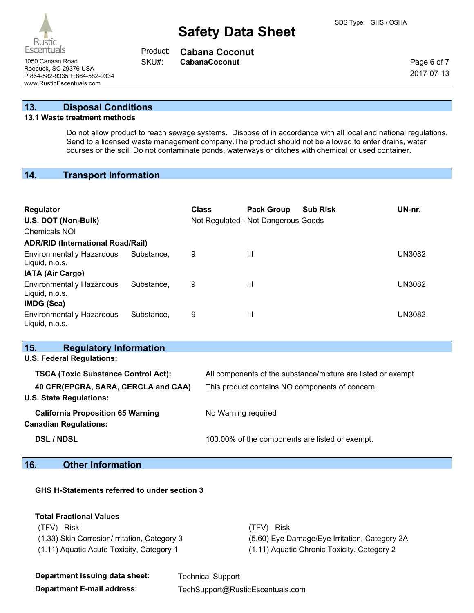Rustic **Escentuals** 

1050 Canaan Road **CabanaCoconut** SKU#: CabanaCoconut Roebuck, SC 29376 USA P:864-582-9335 F:864-582-9334 www.RusticEscentuals.com

**Cabana Coconut** Product:

SKU#:

Page 6 of 7 2017-07-13

**13. Disposal Conditions**

### **13.1 Waste treatment methods**

Do not allow product to reach sewage systems. Dispose of in accordance with all local and national regulations. Send to a licensed waste management company.The product should not be allowed to enter drains, water courses or the soil. Do not contaminate ponds, waterways or ditches with chemical or used container.

# **14. Transport Information**

| <b>Regulator</b><br>U.S. DOT (Non-Bulk)<br><b>Chemicals NOI</b> |            | <b>Class</b> | <b>Pack Group</b><br>Not Regulated - Not Dangerous Goods | <b>Sub Risk</b> | UN-nr.        |
|-----------------------------------------------------------------|------------|--------------|----------------------------------------------------------|-----------------|---------------|
| <b>ADR/RID (International Road/Rail)</b>                        |            |              |                                                          |                 |               |
| <b>Environmentally Hazardous</b><br>Liquid, n.o.s.              | Substance, | 9            | Ш                                                        |                 | UN3082        |
| <b>IATA (Air Cargo)</b>                                         |            |              |                                                          |                 |               |
| <b>Environmentally Hazardous</b><br>Liquid, n.o.s.              | Substance. | 9            | Ш                                                        |                 | <b>UN3082</b> |
| IMDG (Sea)                                                      |            |              |                                                          |                 |               |
| <b>Environmentally Hazardous</b><br>Liquid, n.o.s.              | Substance. | 9            | Ш                                                        |                 | UN3082        |

| 15.<br><b>Regulatory Information</b>       |                                                              |
|--------------------------------------------|--------------------------------------------------------------|
| <b>U.S. Federal Regulations:</b>           |                                                              |
| <b>TSCA (Toxic Substance Control Act):</b> | All components of the substance/mixture are listed or exempt |
| 40 CFR(EPCRA, SARA, CERCLA and CAA)        | This product contains NO components of concern.              |
| <b>U.S. State Regulations:</b>             |                                                              |
| <b>California Proposition 65 Warning</b>   | No Warning required                                          |
| <b>Canadian Regulations:</b>               |                                                              |
| <b>DSL / NDSL</b>                          | 100.00% of the components are listed or exempt.              |
|                                            |                                                              |

### **16. Other Information**

### **GHS H-Statements referred to under section 3**

#### **Total Fractional Values**

(TFV) Risk (TFV) Risk

(1.33) Skin Corrosion/Irritation, Category 3 (5.60) Eye Damage/Eye Irritation, Category 2A (1.11) Aquatic Acute Toxicity, Category 1 (1.11) Aquatic Chronic Toxicity, Category 2

| Department issuing data sheet: | <b>Technical Support</b>         |
|--------------------------------|----------------------------------|
| Department E-mail address:     | TechSupport@RusticEscentuals.com |